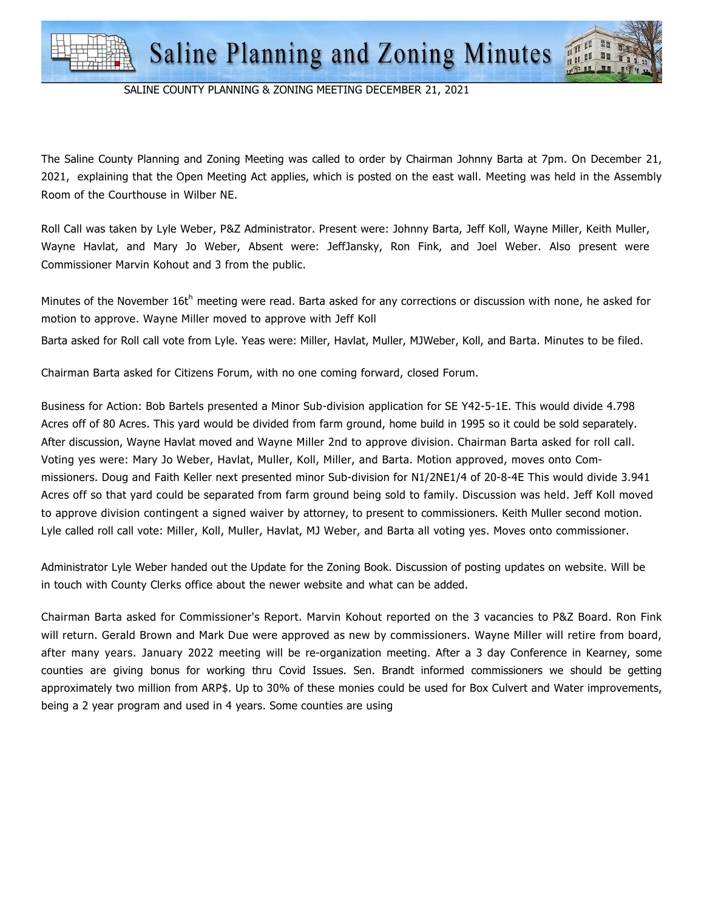

The Saline County Planning and Zoning Meeting was called to order by Chairman Johnny Barta at 7pm. On December 21, 2021, explaining that the Open Meeting Act applies, which is posted on the east wall. Meeting was held in the Assembly Room of the Courthouse in Wilber NE.

Roll Call was taken by Lyle Weber, P&Z Administrator. Present were: Johnny Barta, Jeff Koll, Wayne Miller, Keith Muller, Wayne Havlat, and Mary Jo Weber, Absent were: JeffJansky, Ron Fink, and Joel Weber. Also present were Commissioner Marvin Kohout and 3 from the public.

Minutes of the November 16t<sup>h</sup> meeting were read. Barta asked for any corrections or discussion with none, he asked for motion to approve. Wayne Miller moved to approve with Jeff Koll

Barta asked for Roll call vote from Lyle. Yeas were: Miller, Havlat, Muller, MJWeber, Koll, and Barta. Minutes to be filed.

Chairman Barta asked for Citizens Forum, with no one coming forward, closed Forum.

Business for Action: Bob Bartels presented a Minor Sub-division application for SE Y42-5-1E. This would divide 4.798 Acres off of 80 Acres. This yard would be divided from farm ground, home build in 1995 so it could be sold separately. After discussion, Wayne Havlat moved and Wayne Miller 2nd to approve division. Chairman Barta asked for roll call. Voting yes were: Mary Jo Weber, Havlat, Muller, Koll, Miller, and Barta. Motion approved, moves onto Commissioners. Doug and Faith Keller next presented minor Sub-division for N1/2NE1/4 of 20-8-4E This would divide 3.941 Acres off so that yard could be separated from farm ground being sold to family. Discussion was held. Jeff Koll moved to approve division contingent a signed waiver by attorney, to present to commissioners. Keith Muller second motion. Lyle called roll call vote: Miller, Koll, Muller, Havlat, MJ Weber, and Barta all voting yes. Moves onto commissioner.

Administrator Lyle Weber handed out the Update for the Zoning Book. Discussion of posting updates on website. Will be in touch with County Clerks office about the newer website and what can be added.

Chairman Barta asked for Commissioner's Report. Marvin Kohout reported on the 3 vacancies to P&Z Board. Ron Fink will return. Gerald Brown and Mark Due were approved as new by commissioners. Wayne Miller will retire from board, after many years. January 2022 meeting will be re-organization meeting. After a 3 day Conference in Kearney, some counties are giving bonus for working thru Covid Issues. Sen. Brandt informed commissioners we should be getting approximately two million from ARP\$. Up to 30% of these monies could be used for Box Culvert and Water improvements, being a 2 year program and used in 4 years. Some counties are using